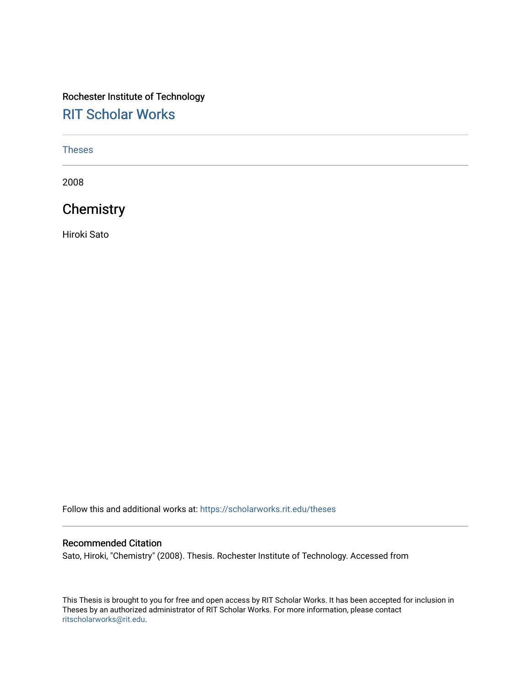# Rochester Institute of Technology [RIT Scholar Works](https://scholarworks.rit.edu/)

#### [Theses](https://scholarworks.rit.edu/theses)

2008

# **Chemistry**

Hiroki Sato

Follow this and additional works at: [https://scholarworks.rit.edu/theses](https://scholarworks.rit.edu/theses?utm_source=scholarworks.rit.edu%2Ftheses%2F6938&utm_medium=PDF&utm_campaign=PDFCoverPages) 

#### Recommended Citation

Sato, Hiroki, "Chemistry" (2008). Thesis. Rochester Institute of Technology. Accessed from

This Thesis is brought to you for free and open access by RIT Scholar Works. It has been accepted for inclusion in Theses by an authorized administrator of RIT Scholar Works. For more information, please contact [ritscholarworks@rit.edu](mailto:ritscholarworks@rit.edu).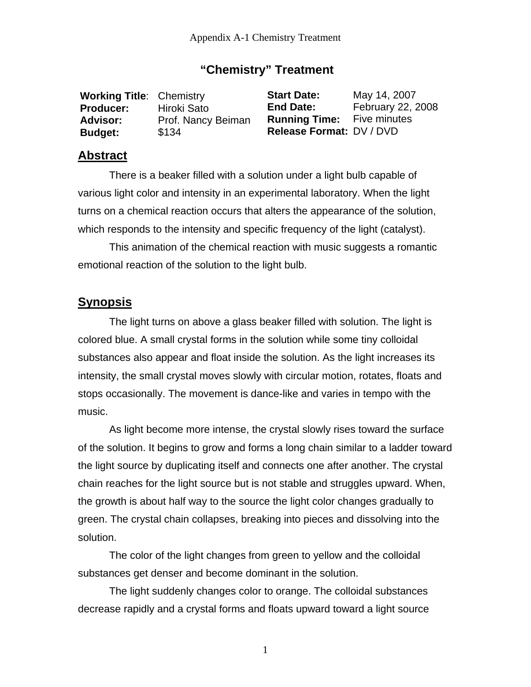### **"Chemistry" Treatment**

| <b>Working Title: Chemistry</b> |                    | <b>Start Date:</b>                | May 14, 2007      |
|---------------------------------|--------------------|-----------------------------------|-------------------|
| <b>Producer:</b>                | Hiroki Sato        | <b>End Date:</b>                  | February 22, 2008 |
| Advisor:                        | Prof. Nancy Beiman | <b>Running Time:</b> Five minutes |                   |
| <b>Budget:</b>                  | \$134              | Release Format: DV / DVD          |                   |

#### **Abstract**

 There is a beaker filled with a solution under a light bulb capable of various light color and intensity in an experimental laboratory. When the light turns on a chemical reaction occurs that alters the appearance of the solution, which responds to the intensity and specific frequency of the light (catalyst).

This animation of the chemical reaction with music suggests a romantic emotional reaction of the solution to the light bulb.

## **Synopsis**

 The light turns on above a glass beaker filled with solution. The light is colored blue. A small crystal forms in the solution while some tiny colloidal substances also appear and float inside the solution. As the light increases its intensity, the small crystal moves slowly with circular motion, rotates, floats and stops occasionally. The movement is dance-like and varies in tempo with the music.

As light become more intense, the crystal slowly rises toward the surface of the solution. It begins to grow and forms a long chain similar to a ladder toward the light source by duplicating itself and connects one after another. The crystal chain reaches for the light source but is not stable and struggles upward. When, the growth is about half way to the source the light color changes gradually to green. The crystal chain collapses, breaking into pieces and dissolving into the solution.

 The color of the light changes from green to yellow and the colloidal substances get denser and become dominant in the solution.

The light suddenly changes color to orange. The colloidal substances decrease rapidly and a crystal forms and floats upward toward a light source

1